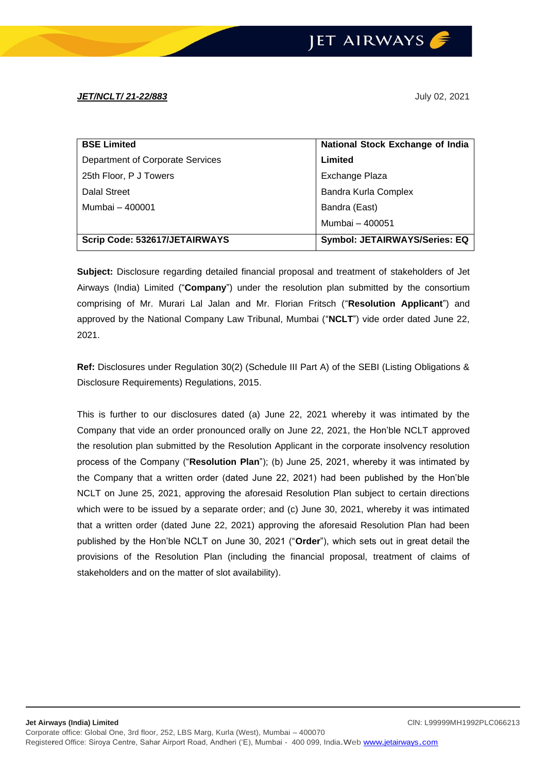#### *JET/NCLT/ 21-22/883* July 02, 2021

| <b>BSE Limited</b>               | <b>National Stock Exchange of India</b> |
|----------------------------------|-----------------------------------------|
| Department of Corporate Services | Limited                                 |
| 25th Floor, P J Towers           | Exchange Plaza                          |
| Dalal Street                     | Bandra Kurla Complex                    |
| Mumbai - 400001                  | Bandra (East)                           |
|                                  | Mumbai - 400051                         |
| Scrip Code: 532617/JETAIRWAYS    | <b>Symbol: JETAIRWAYS/Series: EQ</b>    |

**Subject:** Disclosure regarding detailed financial proposal and treatment of stakeholders of Jet Airways (India) Limited ("**Company**") under the resolution plan submitted by the consortium comprising of Mr. Murari Lal Jalan and Mr. Florian Fritsch ("**Resolution Applicant**") and approved by the National Company Law Tribunal, Mumbai ("**NCLT**") vide order dated June 22, 2021.

**Ref:** Disclosures under Regulation 30(2) (Schedule III Part A) of the SEBI (Listing Obligations & Disclosure Requirements) Regulations, 2015.

This is further to our disclosures dated (a) June 22, 2021 whereby it was intimated by the Company that vide an order pronounced orally on June 22, 2021, the Hon'ble NCLT approved the resolution plan submitted by the Resolution Applicant in the corporate insolvency resolution process of the Company ("**Resolution Plan**"); (b) June 25, 2021, whereby it was intimated by the Company that a written order (dated June 22, 2021) had been published by the Hon'ble NCLT on June 25, 2021, approving the aforesaid Resolution Plan subject to certain directions which were to be issued by a separate order; and (c) June 30, 2021, whereby it was intimated that a written order (dated June 22, 2021) approving the aforesaid Resolution Plan had been published by the Hon'ble NCLT on June 30, 2021 ("**Order**"), which sets out in great detail the provisions of the Resolution Plan (including the financial proposal, treatment of claims of stakeholders and on the matter of slot availability).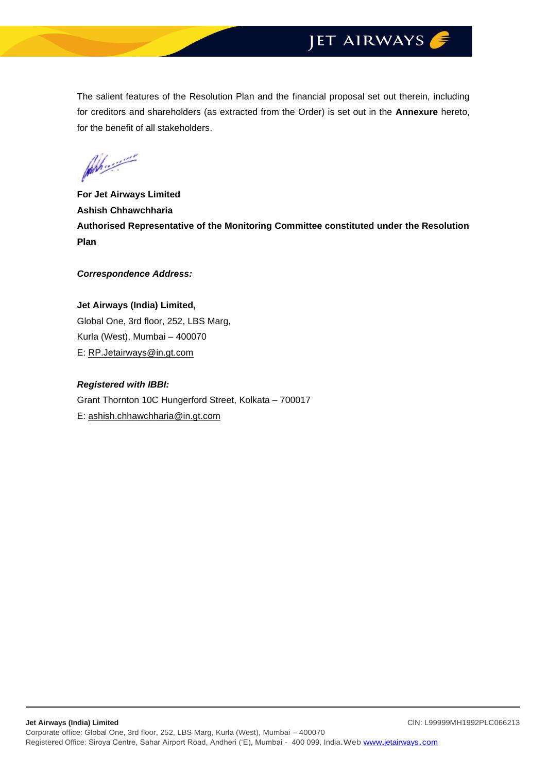The salient features of the Resolution Plan and the financial proposal set out therein, including for creditors and shareholders (as extracted from the Order) is set out in the **Annexure** hereto, for the benefit of all stakeholders.

**For Jet Airways Limited Ashish Chhawchharia Authorised Representative of the Monitoring Committee constituted under the Resolution Plan**

#### *Correspondence Address:*

**Jet Airways (India) Limited,** Global One, 3rd floor, 252, LBS Marg, Kurla (West), Mumbai – 400070 E: [RP.Jetairways@in.gt.com](mailto:RP.Jetairways@in.gt.com)

#### *Registered with IBBI:*

Grant Thornton 10C Hungerford Street, Kolkata – 700017 E: [ashish.chhawchharia@in.gt.com](mailto:ashish.chhawchharia@in.gt.com)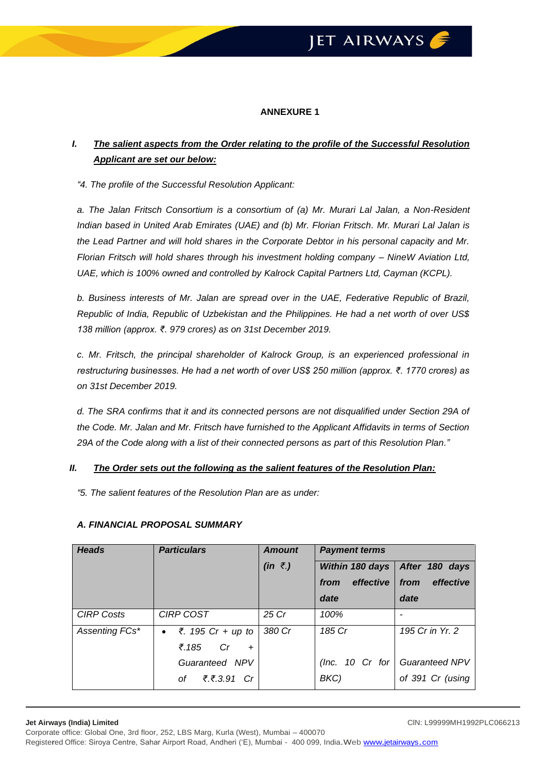#### **ANNEXURE 1**

### *I. The salient aspects from the Order relating to the profile of the Successful Resolution Applicant are set our below:*

#### *"4. The profile of the Successful Resolution Applicant:*

*a. The Jalan Fritsch Consortium is a consortium of (a) Mr. Murari Lal Jalan, a Non-Resident Indian based in United Arab Emirates (UAE) and (b) Mr. Florian Fritsch. Mr. Murari Lal Jalan is the Lead Partner and will hold shares in the Corporate Debtor in his personal capacity and Mr. Florian Fritsch will hold shares through his investment holding company – NineW Aviation Ltd, UAE, which is 100% owned and controlled by Kalrock Capital Partners Ltd, Cayman (KCPL).* 

*b. Business interests of Mr. Jalan are spread over in the UAE, Federative Republic of Brazil, Republic of India, Republic of Uzbekistan and the Philippines. He had a net worth of over US\$ 138 million (approx. ₹. 979 crores) as on 31st December 2019.*

*c. Mr. Fritsch, the principal shareholder of Kalrock Group, is an experienced professional in restructuring businesses. He had a net worth of over US\$ 250 million (approx. ₹. 1770 crores) as on 31st December 2019.*

*d. The SRA confirms that it and its connected persons are not disqualified under Section 29A of the Code. Mr. Jalan and Mr. Fritsch have furnished to the Applicant Affidavits in terms of Section 29A of the Code along with a list of their connected persons as part of this Resolution Plan."*

#### *II. The Order sets out the following as the salient features of the Resolution Plan:*

*"5. The salient features of the Resolution Plan are as under:*

| <b>Heads</b>      | <b>Particulars</b>                                         | <b>Amount</b>     | <b>Payment terms</b>      |                                           |
|-------------------|------------------------------------------------------------|-------------------|---------------------------|-------------------------------------------|
|                   |                                                            | $(in \; \bar{z})$ |                           | Within 180 days   After 180 days          |
|                   |                                                            |                   | effective<br>from         | effective<br>from                         |
|                   |                                                            |                   | date                      | date                                      |
| <b>CIRP Costs</b> | <b>CIRP COST</b>                                           | 25 Cr             | 100%                      |                                           |
| Assenting FCs*    | ₹. 195 Cr + up to<br>$\bullet$<br>₹.185<br>Cr<br>$\ddot{}$ | 380 Cr            | 185 Cr                    | 195 Cr in Yr. 2                           |
|                   | Guaranteed NPV<br>₹.₹.3.91 Cr<br>οf                        |                   | (Inc. $10$ Cr for<br>BKC) | <b>Guaranteed NPV</b><br>of 391 Cr (using |

#### *A. FINANCIAL PROPOSAL SUMMARY*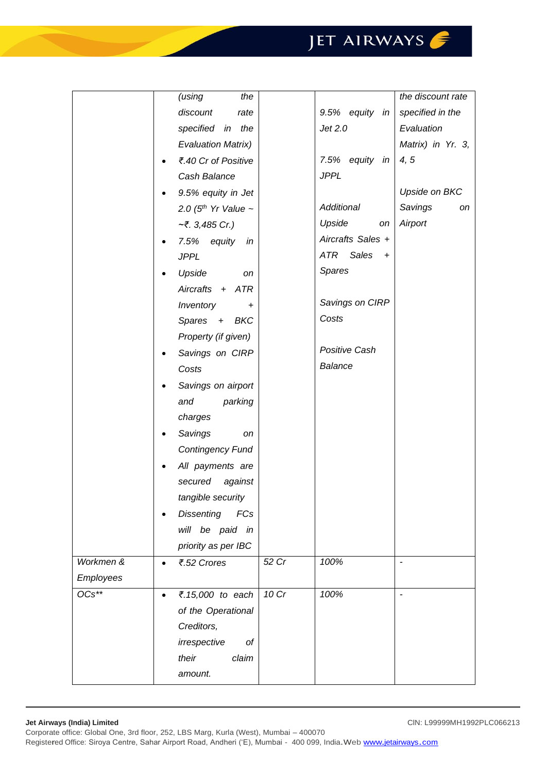|           | (using<br>the                 |       |                     | the discount rate        |
|-----------|-------------------------------|-------|---------------------|--------------------------|
|           | discount<br>rate              |       | 9.5% equity in      | specified in the         |
|           | specified in the              |       | Jet 2.0             | Evaluation               |
|           | <b>Evaluation Matrix)</b>     |       |                     | Matrix) in Yr. 3,        |
|           | ₹.40 Cr of Positive           |       | 7.5% equity in      | 4, 5                     |
|           | Cash Balance                  |       | <b>JPPL</b>         |                          |
|           | 9.5% equity in Jet            |       |                     | Upside on BKC            |
|           | 2.0 ( $5th$ Yr Value $\sim$   |       | Additional          | Savings<br>on            |
|           | $\sim$ ₹. 3,485 Cr.)          |       | Upside<br>on        | Airport                  |
|           | 7.5% equity<br>in             |       | Aircrafts Sales +   |                          |
|           | <b>JPPL</b>                   |       | ATR<br>Sales<br>$+$ |                          |
|           | Upside<br>on                  |       | Spares              |                          |
|           | Aircrafts + ATR               |       |                     |                          |
|           | Inventory<br>$\ddot{}$        |       | Savings on CIRP     |                          |
|           | Spares + BKC                  |       | Costs               |                          |
|           | Property (if given)           |       |                     |                          |
|           | Savings on CIRP               |       | Positive Cash       |                          |
|           | Costs                         |       | <b>Balance</b>      |                          |
|           | Savings on airport            |       |                     |                          |
|           | parking<br>and                |       |                     |                          |
|           | charges                       |       |                     |                          |
|           | Savings<br>on                 |       |                     |                          |
|           | <b>Contingency Fund</b>       |       |                     |                          |
|           | All payments are              |       |                     |                          |
|           | secured against               |       |                     |                          |
|           | tangible security             |       |                     |                          |
|           | Dissenting<br>FCs             |       |                     |                          |
|           | will be paid in               |       |                     |                          |
|           | priority as per IBC           |       |                     |                          |
| Workmen & | ₹.52 Crores                   | 52 Cr | 100%                |                          |
| Employees |                               |       |                     |                          |
| $OCs**$   | ₹.15,000 to each<br>$\bullet$ | 10 Cr | 100%                | $\overline{\phantom{a}}$ |
|           | of the Operational            |       |                     |                          |
|           | Creditors,                    |       |                     |                          |
|           | irrespective<br>of            |       |                     |                          |
|           | their<br>claim                |       |                     |                          |
|           | amount.                       |       |                     |                          |
|           |                               |       |                     |                          |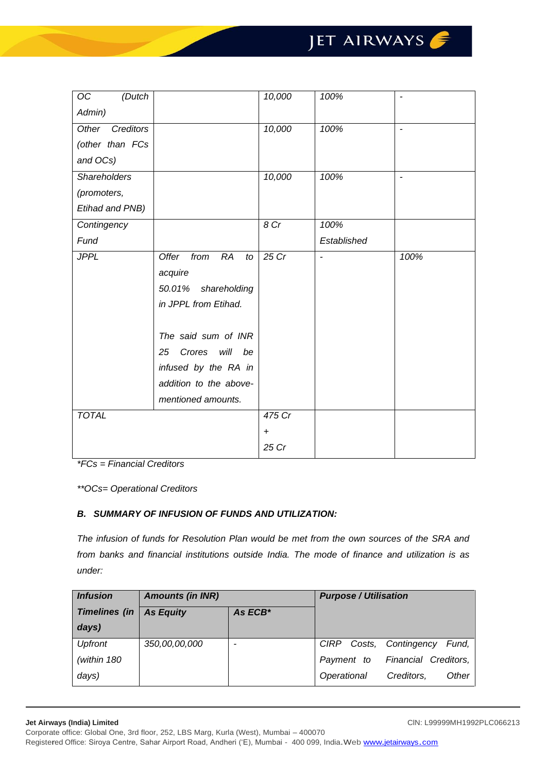| OC<br>(Dutch        |                                  | 10,000             | 100%                     |                |
|---------------------|----------------------------------|--------------------|--------------------------|----------------|
| Admin)              |                                  |                    |                          |                |
| Creditors<br>Other  |                                  | 10,000             | 100%                     | $\overline{a}$ |
| (other than FCs     |                                  |                    |                          |                |
| and OCs)            |                                  |                    |                          |                |
| <b>Shareholders</b> |                                  | 10,000             | 100%                     | $\overline{a}$ |
| (promoters,         |                                  |                    |                          |                |
| Etihad and PNB)     |                                  |                    |                          |                |
| Contingency         |                                  | 8 Cr               | 100%                     |                |
| Fund                |                                  |                    | Established              |                |
| <b>JPPL</b>         | Offer<br>from<br><b>RA</b><br>to | $25 \overline{Cr}$ | $\overline{\phantom{a}}$ | 100%           |
|                     | acquire                          |                    |                          |                |
|                     | shareholding<br>50.01%           |                    |                          |                |
|                     | in JPPL from Etihad.             |                    |                          |                |
|                     |                                  |                    |                          |                |
|                     | The said sum of INR              |                    |                          |                |
|                     | Crores<br>will<br>be<br>25       |                    |                          |                |
|                     | infused by the RA in             |                    |                          |                |
|                     | addition to the above-           |                    |                          |                |
|                     | mentioned amounts.               |                    |                          |                |
| <b>TOTAL</b>        |                                  | 475 Cr             |                          |                |
|                     |                                  | $\ddot{}$          |                          |                |
|                     |                                  | 25 Cr              |                          |                |
|                     |                                  |                    |                          |                |

*\*FCs = Financial Creditors*

*\*\*OCs= Operational Creditors*

#### *B. SUMMARY OF INFUSION OF FUNDS AND UTILIZATION:*

*The infusion of funds for Resolution Plan would be met from the own sources of the SRA and from banks and financial institutions outside India. The mode of finance and utilization is as under:*

| <b>Infusion</b>      | <b>Amounts (in INR)</b> |                     | <b>Purpose / Utilisation</b>       |  |  |
|----------------------|-------------------------|---------------------|------------------------------------|--|--|
| <b>Timelines (in</b> | <b>As Equity</b>        | As ECB <sup>*</sup> |                                    |  |  |
| days)                |                         |                     |                                    |  |  |
| <b>Upfront</b>       | 350,00,00,000           | -                   | CIRP Costs, Contingency<br>Fund.   |  |  |
| (within 180          |                         |                     | Payment to Financial Creditors,    |  |  |
| days)                |                         |                     | Creditors,<br>Other<br>Operational |  |  |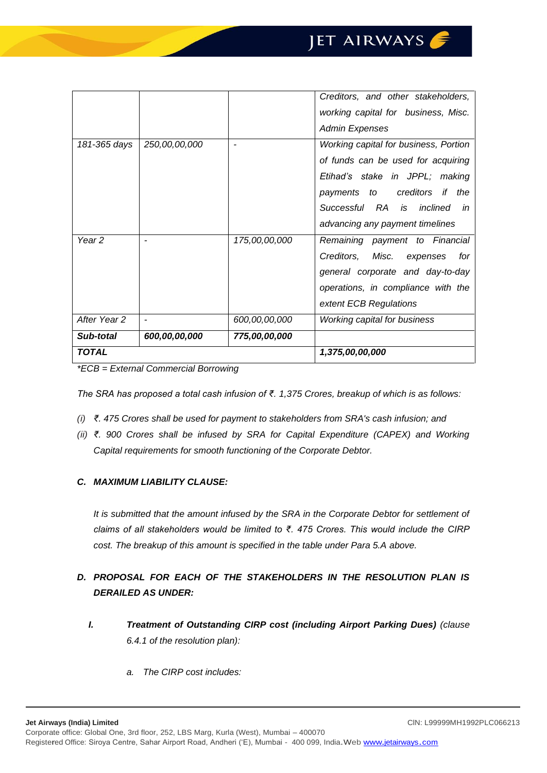|                   |               |               | Creditors, and other stakeholders,    |
|-------------------|---------------|---------------|---------------------------------------|
|                   |               |               | working capital for business, Misc.   |
|                   |               |               | Admin Expenses                        |
| 181-365 days      | 250,00,00,000 |               | Working capital for business, Portion |
|                   |               |               | of funds can be used for acquiring    |
|                   |               |               | Etihad's stake in JPPL; making        |
|                   |               |               | creditors if the<br>payments to       |
|                   |               |               | Successful RA is inclined<br>in       |
|                   |               |               | advancing any payment timelines       |
| Year <sub>2</sub> |               | 175,00,00,000 | Remaining payment to Financial        |
|                   |               |               | Creditors,<br>for<br>Misc. expenses   |
|                   |               |               | general corporate and day-to-day      |
|                   |               |               | operations, in compliance with the    |
|                   |               |               | extent ECB Regulations                |
| After Year 2      |               | 600,00,00,000 | Working capital for business          |
| Sub-total         | 600,00,00,000 | 775,00,00,000 |                                       |
| <b>TOTAL</b>      |               |               | 1,375,00,00,000                       |

*\*ECB = External Commercial Borrowing*

*The SRA has proposed a total cash infusion of ₹. 1,375 Crores, breakup of which is as follows:*

- *(i) ₹. 475 Crores shall be used for payment to stakeholders from SRA's cash infusion; and*
- *(ii) ₹. 900 Crores shall be infused by SRA for Capital Expenditure (CAPEX) and Working Capital requirements for smooth functioning of the Corporate Debtor.*

#### *C. MAXIMUM LIABILITY CLAUSE:*

*It is submitted that the amount infused by the SRA in the Corporate Debtor for settlement of claims of all stakeholders would be limited to ₹. 475 Crores. This would include the CIRP cost. The breakup of this amount is specified in the table under Para 5.A above.* 

### *D. PROPOSAL FOR EACH OF THE STAKEHOLDERS IN THE RESOLUTION PLAN IS DERAILED AS UNDER:*

- *I. Treatment of Outstanding CIRP cost (including Airport Parking Dues) (clause 6.4.1 of the resolution plan):*
	- *a. The CIRP cost includes:*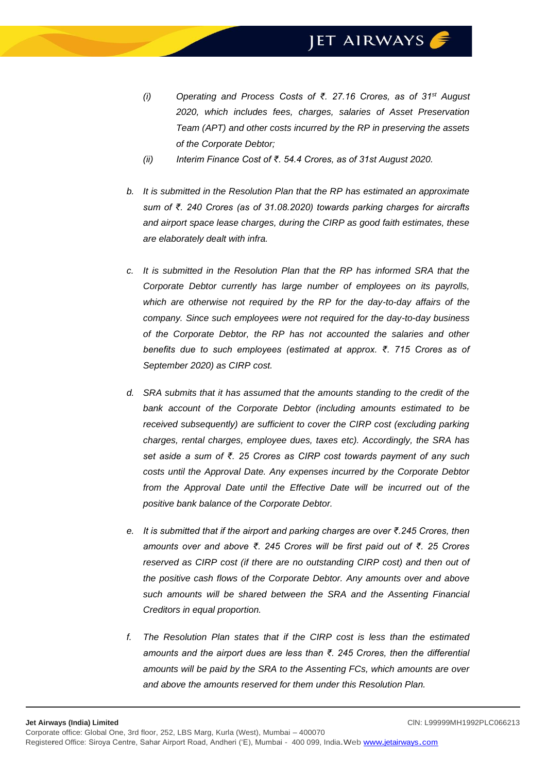- *(i) Operating and Process Costs of ₹. 27.16 Crores, as of 31st August 2020, which includes fees, charges, salaries of Asset Preservation Team (APT) and other costs incurred by the RP in preserving the assets of the Corporate Debtor;*
- *(ii) Interim Finance Cost of ₹. 54.4 Crores, as of 31st August 2020.*
- *b. It is submitted in the Resolution Plan that the RP has estimated an approximate sum of ₹. 240 Crores (as of 31.08.2020) towards parking charges for aircrafts and airport space lease charges, during the CIRP as good faith estimates, these are elaborately dealt with infra.*
- *c. It is submitted in the Resolution Plan that the RP has informed SRA that the Corporate Debtor currently has large number of employees on its payrolls, which are otherwise not required by the RP for the day-to-day affairs of the company. Since such employees were not required for the day-to-day business of the Corporate Debtor, the RP has not accounted the salaries and other benefits due to such employees (estimated at approx. ₹. 715 Crores as of September 2020) as CIRP cost.*
- *d. SRA submits that it has assumed that the amounts standing to the credit of the bank account of the Corporate Debtor (including amounts estimated to be received subsequently) are sufficient to cover the CIRP cost (excluding parking charges, rental charges, employee dues, taxes etc). Accordingly, the SRA has set aside a sum of ₹. 25 Crores as CIRP cost towards payment of any such costs until the Approval Date. Any expenses incurred by the Corporate Debtor from the Approval Date until the Effective Date will be incurred out of the positive bank balance of the Corporate Debtor.*
- *e. It is submitted that if the airport and parking charges are over ₹.245 Crores, then amounts over and above ₹. 245 Crores will be first paid out of ₹. 25 Crores reserved as CIRP cost (if there are no outstanding CIRP cost) and then out of the positive cash flows of the Corporate Debtor. Any amounts over and above such amounts will be shared between the SRA and the Assenting Financial Creditors in equal proportion.*
- *f. The Resolution Plan states that if the CIRP cost is less than the estimated amounts and the airport dues are less than ₹. 245 Crores, then the differential amounts will be paid by the SRA to the Assenting FCs, which amounts are over and above the amounts reserved for them under this Resolution Plan.*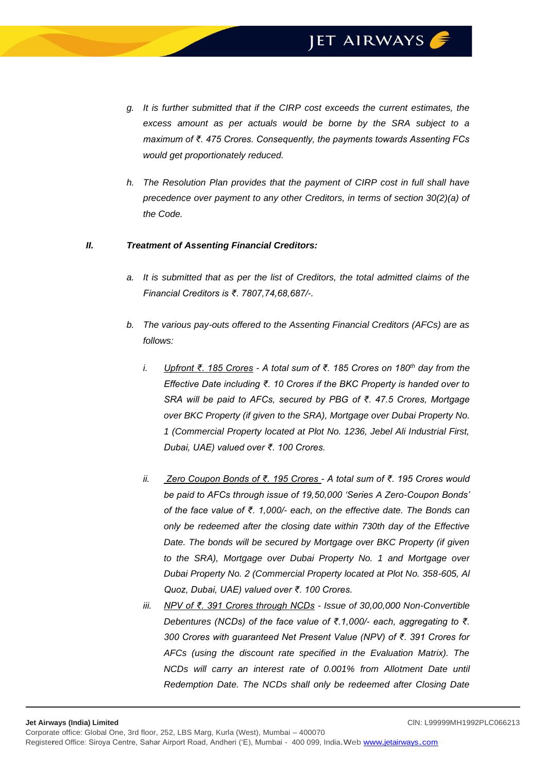- *g. It is further submitted that if the CIRP cost exceeds the current estimates, the excess amount as per actuals would be borne by the SRA subject to a maximum of ₹. 475 Crores. Consequently, the payments towards Assenting FCs would get proportionately reduced.*
- *h. The Resolution Plan provides that the payment of CIRP cost in full shall have precedence over payment to any other Creditors, in terms of section 30(2)(a) of the Code.*

#### *II. Treatment of Assenting Financial Creditors:*

- *a. It is submitted that as per the list of Creditors, the total admitted claims of the Financial Creditors is ₹. 7807,74,68,687/-.*
- *b. The various pay-outs offered to the Assenting Financial Creditors (AFCs) are as follows:*
	- *i. Upfront ₹. 185 Crores - A total sum of ₹. 185 Crores on 180th day from the Effective Date including ₹. 10 Crores if the BKC Property is handed over to SRA will be paid to AFCs, secured by PBG of ₹. 47.5 Crores, Mortgage over BKC Property (if given to the SRA), Mortgage over Dubai Property No. 1 (Commercial Property located at Plot No. 1236, Jebel Ali Industrial First, Dubai, UAE) valued over ₹. 100 Crores.*
	- *ii. Zero Coupon Bonds of ₹. 195 Crores - A total sum of ₹. 195 Crores would be paid to AFCs through issue of 19,50,000 'Series A Zero-Coupon Bonds' of the face value of ₹. 1,000/- each, on the effective date. The Bonds can only be redeemed after the closing date within 730th day of the Effective Date. The bonds will be secured by Mortgage over BKC Property (if given to the SRA), Mortgage over Dubai Property No. 1 and Mortgage over Dubai Property No. 2 (Commercial Property located at Plot No. 358-605, Al Quoz, Dubai, UAE) valued over ₹. 100 Crores.*
	- *iii. NPV of ₹. 391 Crores through NCDs - Issue of 30,00,000 Non-Convertible Debentures (NCDs) of the face value of ₹.1,000/- each, aggregating to ₹. 300 Crores with guaranteed Net Present Value (NPV) of ₹. 391 Crores for AFCs (using the discount rate specified in the Evaluation Matrix). The NCDs will carry an interest rate of 0.001% from Allotment Date until Redemption Date. The NCDs shall only be redeemed after Closing Date*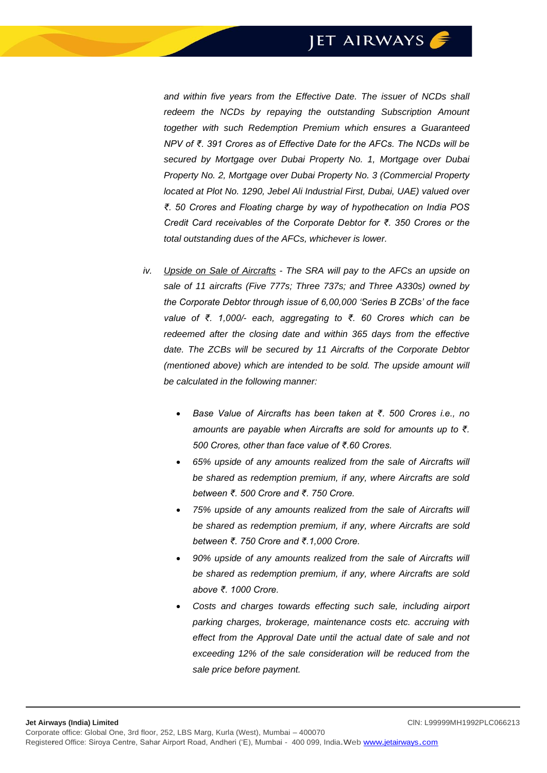*and within five years from the Effective Date. The issuer of NCDs shall redeem the NCDs by repaying the outstanding Subscription Amount together with such Redemption Premium which ensures a Guaranteed NPV of ₹. 391 Crores as of Effective Date for the AFCs. The NCDs will be secured by Mortgage over Dubai Property No. 1, Mortgage over Dubai Property No. 2, Mortgage over Dubai Property No. 3 (Commercial Property located at Plot No. 1290, Jebel Ali Industrial First, Dubai, UAE) valued over ₹. 50 Crores and Floating charge by way of hypothecation on India POS Credit Card receivables of the Corporate Debtor for ₹. 350 Crores or the total outstanding dues of the AFCs, whichever is lower.*

- *iv. Upside on Sale of Aircrafts - The SRA will pay to the AFCs an upside on sale of 11 aircrafts (Five 777s; Three 737s; and Three A330s) owned by the Corporate Debtor through issue of 6,00,000 'Series B ZCBs' of the face value of ₹. 1,000/- each, aggregating to ₹. 60 Crores which can be redeemed after the closing date and within 365 days from the effective date. The ZCBs will be secured by 11 Aircrafts of the Corporate Debtor (mentioned above) which are intended to be sold. The upside amount will be calculated in the following manner:*
	- *Base Value of Aircrafts has been taken at ₹. 500 Crores i.e., no amounts are payable when Aircrafts are sold for amounts up to ₹. 500 Crores, other than face value of ₹.60 Crores.*
	- *65% upside of any amounts realized from the sale of Aircrafts will be shared as redemption premium, if any, where Aircrafts are sold between ₹. 500 Crore and ₹. 750 Crore.*
	- *75% upside of any amounts realized from the sale of Aircrafts will be shared as redemption premium, if any, where Aircrafts are sold between ₹. 750 Crore and ₹.1,000 Crore.*
	- *90% upside of any amounts realized from the sale of Aircrafts will be shared as redemption premium, if any, where Aircrafts are sold above ₹. 1000 Crore.*
	- *Costs and charges towards effecting such sale, including airport parking charges, brokerage, maintenance costs etc. accruing with effect from the Approval Date until the actual date of sale and not exceeding 12% of the sale consideration will be reduced from the sale price before payment.*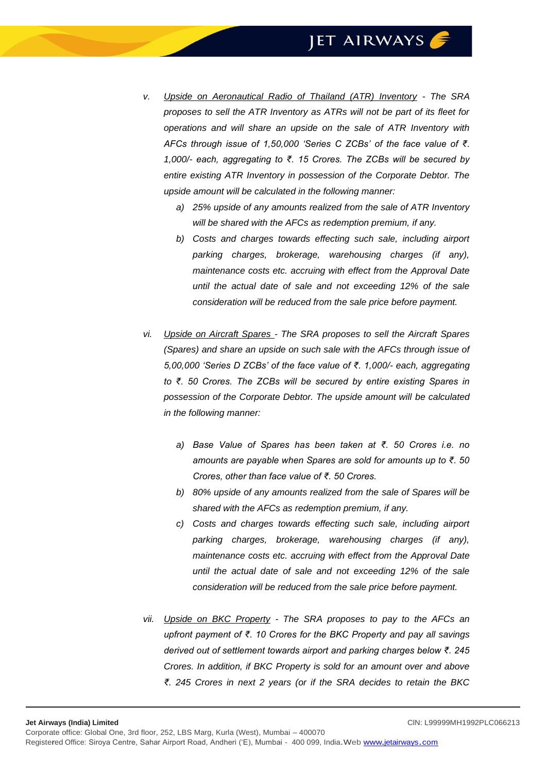- *v. Upside on Aeronautical Radio of Thailand (ATR) Inventory - The SRA proposes to sell the ATR Inventory as ATRs will not be part of its fleet for operations and will share an upside on the sale of ATR Inventory with AFCs through issue of 1,50,000 'Series C ZCBs' of the face value of ₹. 1,000/- each, aggregating to ₹. 15 Crores. The ZCBs will be secured by entire existing ATR Inventory in possession of the Corporate Debtor. The upside amount will be calculated in the following manner:*
	- *a) 25% upside of any amounts realized from the sale of ATR Inventory will be shared with the AFCs as redemption premium, if any.*
	- *b) Costs and charges towards effecting such sale, including airport parking charges, brokerage, warehousing charges (if any), maintenance costs etc. accruing with effect from the Approval Date until the actual date of sale and not exceeding 12% of the sale consideration will be reduced from the sale price before payment.*
- *vi. Upside on Aircraft Spares - The SRA proposes to sell the Aircraft Spares (Spares) and share an upside on such sale with the AFCs through issue of 5,00,000 'Series D ZCBs' of the face value of ₹. 1,000/- each, aggregating to ₹. 50 Crores. The ZCBs will be secured by entire existing Spares in possession of the Corporate Debtor. The upside amount will be calculated in the following manner:*
	- *a) Base Value of Spares has been taken at ₹. 50 Crores i.e. no amounts are payable when Spares are sold for amounts up to ₹. 50 Crores, other than face value of ₹. 50 Crores.*
	- *b) 80% upside of any amounts realized from the sale of Spares will be shared with the AFCs as redemption premium, if any.*
	- *c) Costs and charges towards effecting such sale, including airport parking charges, brokerage, warehousing charges (if any), maintenance costs etc. accruing with effect from the Approval Date until the actual date of sale and not exceeding 12% of the sale consideration will be reduced from the sale price before payment.*
- *vii. Upside on BKC Property - The SRA proposes to pay to the AFCs an upfront payment of ₹. 10 Crores for the BKC Property and pay all savings derived out of settlement towards airport and parking charges below ₹. 245 Crores. In addition, if BKC Property is sold for an amount over and above ₹. 245 Crores in next 2 years (or if the SRA decides to retain the BKC*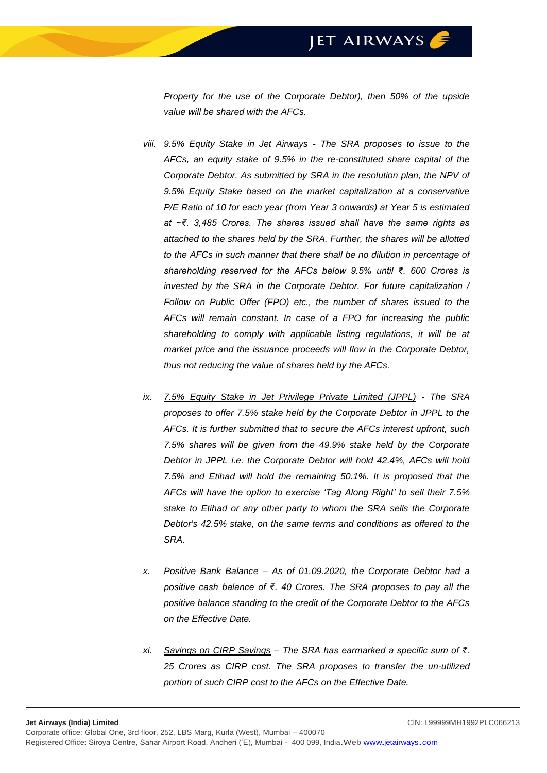*Property for the use of the Corporate Debtor), then 50% of the upside value will be shared with the AFCs.*

- *viii. 9.5% Equity Stake in Jet Airways - The SRA proposes to issue to the AFCs, an equity stake of 9.5% in the re-constituted share capital of the Corporate Debtor. As submitted by SRA in the resolution plan, the NPV of 9.5% Equity Stake based on the market capitalization at a conservative P/E Ratio of 10 for each year (from Year 3 onwards) at Year 5 is estimated at ~₹. 3,485 Crores. The shares issued shall have the same rights as attached to the shares held by the SRA. Further, the shares will be allotted to the AFCs in such manner that there shall be no dilution in percentage of shareholding reserved for the AFCs below 9.5% until ₹. 600 Crores is invested by the SRA in the Corporate Debtor. For future capitalization / Follow on Public Offer (FPO) etc., the number of shares issued to the AFCs will remain constant. In case of a FPO for increasing the public shareholding to comply with applicable listing regulations, it will be at market price and the issuance proceeds will flow in the Corporate Debtor, thus not reducing the value of shares held by the AFCs.*
- *ix. 7.5% Equity Stake in Jet Privilege Private Limited (JPPL) - The SRA proposes to offer 7.5% stake held by the Corporate Debtor in JPPL to the AFCs. It is further submitted that to secure the AFCs interest upfront, such 7.5% shares will be given from the 49.9% stake held by the Corporate Debtor in JPPL i.e. the Corporate Debtor will hold 42.4%, AFCs will hold 7.5% and Etihad will hold the remaining 50.1%. It is proposed that the AFCs will have the option to exercise 'Tag Along Right' to sell their 7.5% stake to Etihad or any other party to whom the SRA sells the Corporate Debtor's 42.5% stake, on the same terms and conditions as offered to the SRA.*
- *x. Positive Bank Balance – As of 01.09.2020, the Corporate Debtor had a positive cash balance of ₹. 40 Crores. The SRA proposes to pay all the positive balance standing to the credit of the Corporate Debtor to the AFCs on the Effective Date.*
- *xi. Savings on CIRP Savings – The SRA has earmarked a specific sum of ₹. 25 Crores as CIRP cost. The SRA proposes to transfer the un-utilized portion of such CIRP cost to the AFCs on the Effective Date.*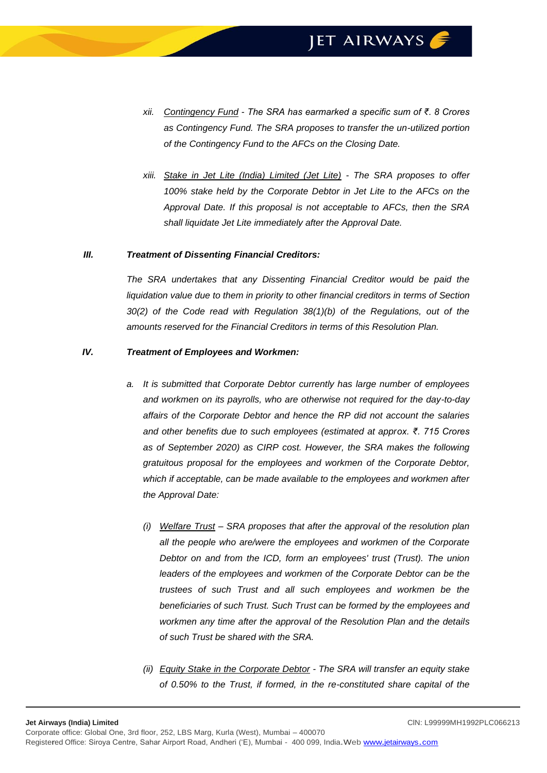- *xii. Contingency Fund - The SRA has earmarked a specific sum of ₹. 8 Crores as Contingency Fund. The SRA proposes to transfer the un-utilized portion of the Contingency Fund to the AFCs on the Closing Date.*
- *xiii. Stake in Jet Lite (India) Limited (Jet Lite) - The SRA proposes to offer 100% stake held by the Corporate Debtor in Jet Lite to the AFCs on the Approval Date. If this proposal is not acceptable to AFCs, then the SRA shall liquidate Jet Lite immediately after the Approval Date.*

#### *III. Treatment of Dissenting Financial Creditors:*

*The SRA undertakes that any Dissenting Financial Creditor would be paid the liquidation value due to them in priority to other financial creditors in terms of Section 30(2) of the Code read with Regulation 38(1)(b) of the Regulations, out of the amounts reserved for the Financial Creditors in terms of this Resolution Plan.*

#### *IV. Treatment of Employees and Workmen:*

- *a. It is submitted that Corporate Debtor currently has large number of employees and workmen on its payrolls, who are otherwise not required for the day-to-day affairs of the Corporate Debtor and hence the RP did not account the salaries and other benefits due to such employees (estimated at approx. ₹. 715 Crores as of September 2020) as CIRP cost. However, the SRA makes the following gratuitous proposal for the employees and workmen of the Corporate Debtor, which if acceptable, can be made available to the employees and workmen after the Approval Date:*
	- *(i) Welfare Trust – SRA proposes that after the approval of the resolution plan all the people who are/were the employees and workmen of the Corporate Debtor on and from the ICD, form an employees' trust (Trust). The union*  leaders of the employees and workmen of the Corporate Debtor can be the *trustees of such Trust and all such employees and workmen be the beneficiaries of such Trust. Such Trust can be formed by the employees and workmen any time after the approval of the Resolution Plan and the details of such Trust be shared with the SRA.*
	- *(ii) Equity Stake in the Corporate Debtor - The SRA will transfer an equity stake of 0.50% to the Trust, if formed, in the re-constituted share capital of the*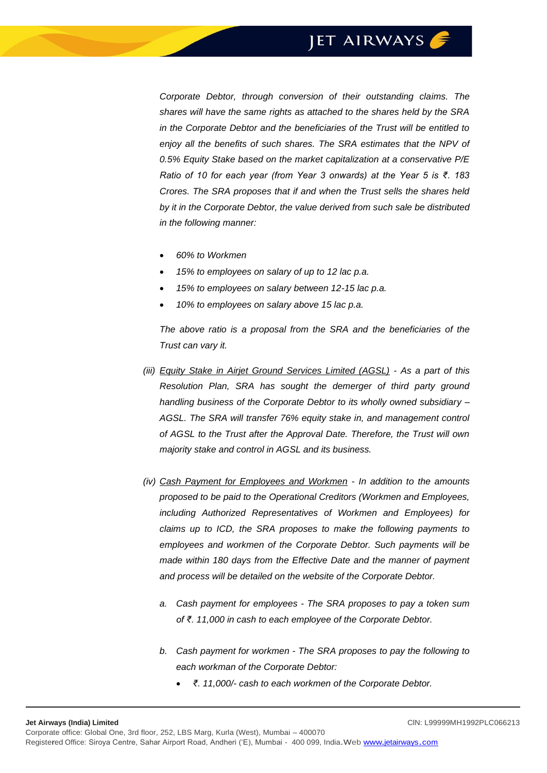*Corporate Debtor, through conversion of their outstanding claims. The shares will have the same rights as attached to the shares held by the SRA in the Corporate Debtor and the beneficiaries of the Trust will be entitled to enjoy all the benefits of such shares. The SRA estimates that the NPV of 0.5% Equity Stake based on the market capitalization at a conservative P/E Ratio of 10 for each year (from Year 3 onwards) at the Year 5 is ₹. 183 Crores. The SRA proposes that if and when the Trust sells the shares held by it in the Corporate Debtor, the value derived from such sale be distributed in the following manner:*

- *60% to Workmen*
- *15% to employees on salary of up to 12 lac p.a.*
- *15% to employees on salary between 12-15 lac p.a.*
- *10% to employees on salary above 15 lac p.a.*

*The above ratio is a proposal from the SRA and the beneficiaries of the Trust can vary it.*

- *(iii) Equity Stake in Airjet Ground Services Limited (AGSL) - As a part of this Resolution Plan, SRA has sought the demerger of third party ground handling business of the Corporate Debtor to its wholly owned subsidiary – AGSL. The SRA will transfer 76% equity stake in, and management control of AGSL to the Trust after the Approval Date. Therefore, the Trust will own majority stake and control in AGSL and its business.*
- *(iv) Cash Payment for Employees and Workmen - In addition to the amounts proposed to be paid to the Operational Creditors (Workmen and Employees, including Authorized Representatives of Workmen and Employees) for claims up to ICD, the SRA proposes to make the following payments to employees and workmen of the Corporate Debtor. Such payments will be made within 180 days from the Effective Date and the manner of payment and process will be detailed on the website of the Corporate Debtor.*
	- *a. Cash payment for employees - The SRA proposes to pay a token sum of ₹. 11,000 in cash to each employee of the Corporate Debtor.*
	- *b. Cash payment for workmen - The SRA proposes to pay the following to each workman of the Corporate Debtor:*
		- *₹. 11,000/- cash to each workmen of the Corporate Debtor.*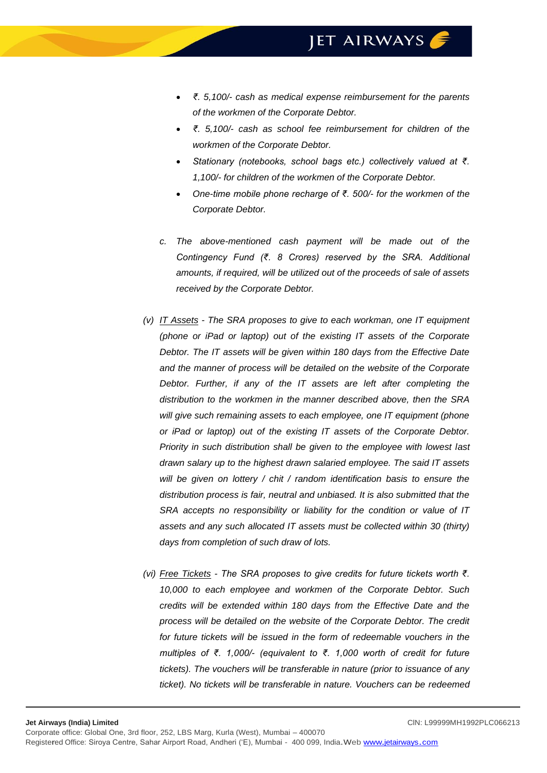- *₹. 5,100/- cash as medical expense reimbursement for the parents of the workmen of the Corporate Debtor.*
- *₹. 5,100/- cash as school fee reimbursement for children of the workmen of the Corporate Debtor.*
- *Stationary (notebooks, school bags etc.) collectively valued at ₹. 1,100/- for children of the workmen of the Corporate Debtor.*
- *One-time mobile phone recharge of ₹. 500/- for the workmen of the Corporate Debtor.*
- *c. The above-mentioned cash payment will be made out of the Contingency Fund (₹. 8 Crores) reserved by the SRA. Additional amounts, if required, will be utilized out of the proceeds of sale of assets received by the Corporate Debtor.*
- *(v) IT Assets - The SRA proposes to give to each workman, one IT equipment (phone or iPad or laptop) out of the existing IT assets of the Corporate Debtor. The IT assets will be given within 180 days from the Effective Date and the manner of process will be detailed on the website of the Corporate Debtor. Further, if any of the IT assets are left after completing the distribution to the workmen in the manner described above, then the SRA will give such remaining assets to each employee, one IT equipment (phone or iPad or laptop) out of the existing IT assets of the Corporate Debtor. Priority in such distribution shall be given to the employee with lowest last drawn salary up to the highest drawn salaried employee. The said IT assets will be given on lottery / chit / random identification basis to ensure the distribution process is fair, neutral and unbiased. It is also submitted that the SRA accepts no responsibility or liability for the condition or value of IT assets and any such allocated IT assets must be collected within 30 (thirty) days from completion of such draw of lots.*
- *(vi) Free Tickets - The SRA proposes to give credits for future tickets worth ₹. 10,000 to each employee and workmen of the Corporate Debtor. Such credits will be extended within 180 days from the Effective Date and the process will be detailed on the website of the Corporate Debtor. The credit for future tickets will be issued in the form of redeemable vouchers in the multiples of ₹. 1,000/- (equivalent to ₹. 1,000 worth of credit for future tickets). The vouchers will be transferable in nature (prior to issuance of any ticket). No tickets will be transferable in nature. Vouchers can be redeemed*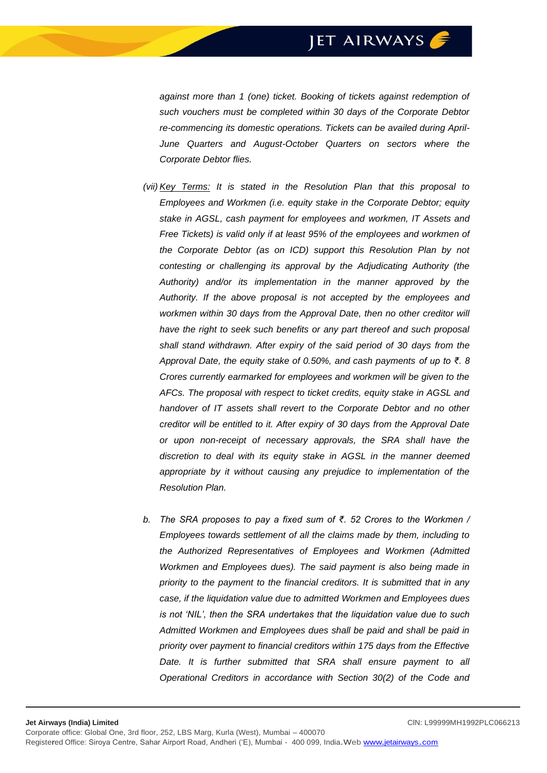*against more than 1 (one) ticket. Booking of tickets against redemption of such vouchers must be completed within 30 days of the Corporate Debtor re-commencing its domestic operations. Tickets can be availed during April-June Quarters and August-October Quarters on sectors where the Corporate Debtor flies.*

- *(vii) Key Terms: It is stated in the Resolution Plan that this proposal to Employees and Workmen (i.e. equity stake in the Corporate Debtor; equity stake in AGSL, cash payment for employees and workmen, IT Assets and Free Tickets) is valid only if at least 95% of the employees and workmen of the Corporate Debtor (as on ICD) support this Resolution Plan by not contesting or challenging its approval by the Adjudicating Authority (the Authority) and/or its implementation in the manner approved by the Authority. If the above proposal is not accepted by the employees and workmen within 30 days from the Approval Date, then no other creditor will have the right to seek such benefits or any part thereof and such proposal shall stand withdrawn. After expiry of the said period of 30 days from the Approval Date, the equity stake of 0.50%, and cash payments of up to ₹. 8 Crores currently earmarked for employees and workmen will be given to the AFCs. The proposal with respect to ticket credits, equity stake in AGSL and handover of IT assets shall revert to the Corporate Debtor and no other creditor will be entitled to it. After expiry of 30 days from the Approval Date or upon non-receipt of necessary approvals, the SRA shall have the discretion to deal with its equity stake in AGSL in the manner deemed appropriate by it without causing any prejudice to implementation of the Resolution Plan.*
- *b. The SRA proposes to pay a fixed sum of ₹. 52 Crores to the Workmen / Employees towards settlement of all the claims made by them, including to the Authorized Representatives of Employees and Workmen (Admitted Workmen and Employees dues). The said payment is also being made in priority to the payment to the financial creditors. It is submitted that in any case, if the liquidation value due to admitted Workmen and Employees dues is not 'NIL', then the SRA undertakes that the liquidation value due to such Admitted Workmen and Employees dues shall be paid and shall be paid in priority over payment to financial creditors within 175 days from the Effective*  Date. It is further submitted that SRA shall ensure payment to all *Operational Creditors in accordance with Section 30(2) of the Code and*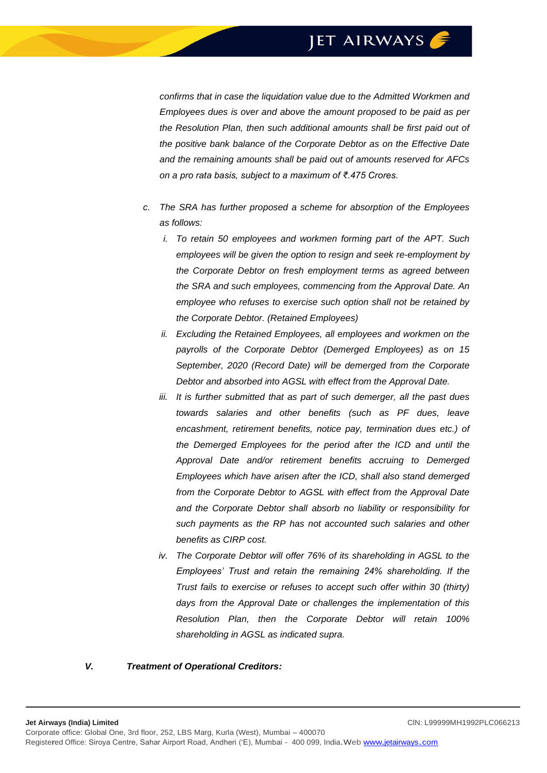*confirms that in case the liquidation value due to the Admitted Workmen and Employees dues is over and above the amount proposed to be paid as per the Resolution Plan, then such additional amounts shall be first paid out of the positive bank balance of the Corporate Debtor as on the Effective Date and the remaining amounts shall be paid out of amounts reserved for AFCs on a pro rata basis, subject to a maximum of ₹.475 Crores.*

- *c. The SRA has further proposed a scheme for absorption of the Employees as follows:*
	- *i. To retain 50 employees and workmen forming part of the APT. Such employees will be given the option to resign and seek re-employment by the Corporate Debtor on fresh employment terms as agreed between the SRA and such employees, commencing from the Approval Date. An employee who refuses to exercise such option shall not be retained by the Corporate Debtor. (Retained Employees)*
	- *ii. Excluding the Retained Employees, all employees and workmen on the payrolls of the Corporate Debtor (Demerged Employees) as on 15 September, 2020 (Record Date) will be demerged from the Corporate Debtor and absorbed into AGSL with effect from the Approval Date.*
	- *iii. It is further submitted that as part of such demerger, all the past dues towards salaries and other benefits (such as PF dues, leave encashment, retirement benefits, notice pay, termination dues etc.) of the Demerged Employees for the period after the ICD and until the Approval Date and/or retirement benefits accruing to Demerged Employees which have arisen after the ICD, shall also stand demerged from the Corporate Debtor to AGSL with effect from the Approval Date and the Corporate Debtor shall absorb no liability or responsibility for such payments as the RP has not accounted such salaries and other benefits as CIRP cost.*
	- *iv. The Corporate Debtor will offer 76% of its shareholding in AGSL to the Employees' Trust and retain the remaining 24% shareholding. If the Trust fails to exercise or refuses to accept such offer within 30 (thirty) days from the Approval Date or challenges the implementation of this Resolution Plan, then the Corporate Debtor will retain 100% shareholding in AGSL as indicated supra.*

#### *V. Treatment of Operational Creditors:*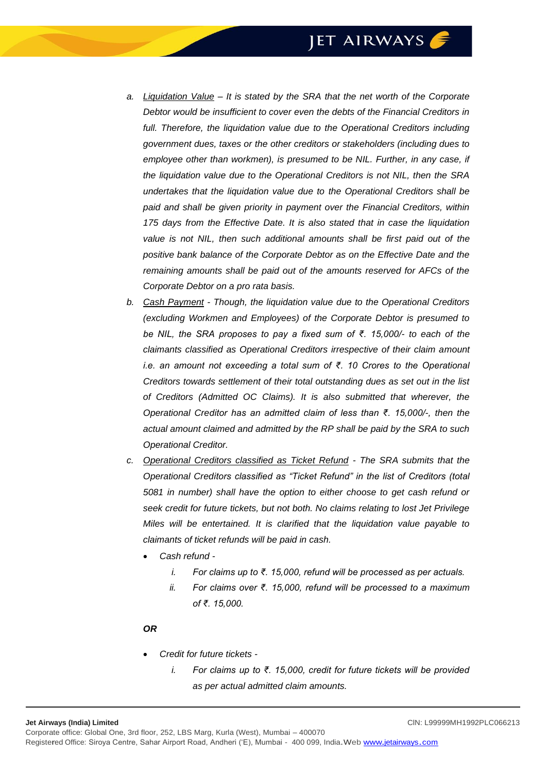- *a. Liquidation Value – It is stated by the SRA that the net worth of the Corporate Debtor would be insufficient to cover even the debts of the Financial Creditors in*  full. Therefore, the liquidation value due to the Operational Creditors including *government dues, taxes or the other creditors or stakeholders (including dues to employee other than workmen), is presumed to be NIL. Further, in any case, if the liquidation value due to the Operational Creditors is not NIL, then the SRA undertakes that the liquidation value due to the Operational Creditors shall be paid and shall be given priority in payment over the Financial Creditors, within 175 days from the Effective Date. It is also stated that in case the liquidation value is not NIL, then such additional amounts shall be first paid out of the positive bank balance of the Corporate Debtor as on the Effective Date and the remaining amounts shall be paid out of the amounts reserved for AFCs of the Corporate Debtor on a pro rata basis.*
- *b. Cash Payment - Though, the liquidation value due to the Operational Creditors (excluding Workmen and Employees) of the Corporate Debtor is presumed to be NIL, the SRA proposes to pay a fixed sum of ₹. 15,000/- to each of the claimants classified as Operational Creditors irrespective of their claim amount i.e. an amount not exceeding a total sum of ₹. 10 Crores to the Operational Creditors towards settlement of their total outstanding dues as set out in the list of Creditors (Admitted OC Claims). It is also submitted that wherever, the Operational Creditor has an admitted claim of less than ₹. 15,000/-, then the actual amount claimed and admitted by the RP shall be paid by the SRA to such Operational Creditor.*
- *c. Operational Creditors classified as Ticket Refund - The SRA submits that the Operational Creditors classified as "Ticket Refund" in the list of Creditors (total 5081 in number) shall have the option to either choose to get cash refund or seek credit for future tickets, but not both. No claims relating to lost Jet Privilege Miles will be entertained. It is clarified that the liquidation value payable to claimants of ticket refunds will be paid in cash.*
	- *Cash refund* 
		- *i. For claims up to ₹. 15,000, refund will be processed as per actuals.*
		- *ii. For claims over ₹. 15,000, refund will be processed to a maximum of ₹. 15,000.*

#### *OR*

- *Credit for future tickets* 
	- *i. For claims up to ₹. 15,000, credit for future tickets will be provided as per actual admitted claim amounts.*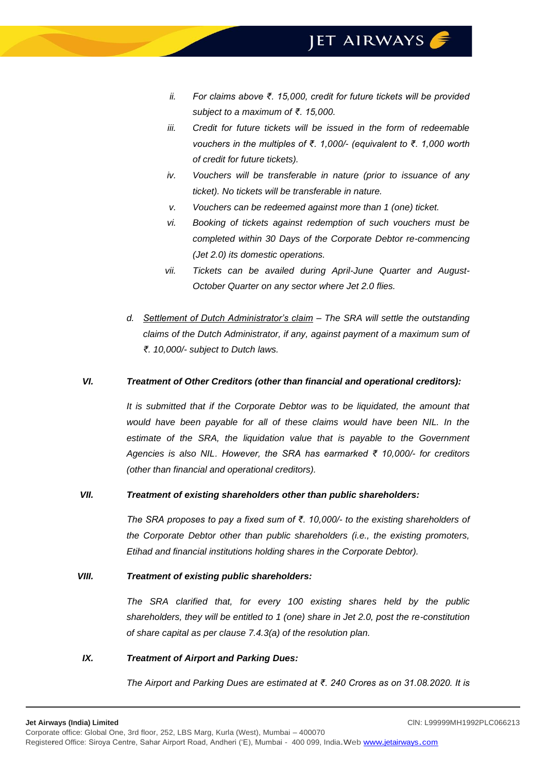- *ii. For claims above ₹. 15,000, credit for future tickets will be provided subject to a maximum of ₹. 15,000.*
- *iii. Credit for future tickets will be issued in the form of redeemable vouchers in the multiples of ₹. 1,000/- (equivalent to ₹. 1,000 worth of credit for future tickets).*
- *iv. Vouchers will be transferable in nature (prior to issuance of any ticket). No tickets will be transferable in nature.*
- *v. Vouchers can be redeemed against more than 1 (one) ticket.*
- *vi. Booking of tickets against redemption of such vouchers must be completed within 30 Days of the Corporate Debtor re-commencing (Jet 2.0) its domestic operations.*
- *vii. Tickets can be availed during April-June Quarter and August-October Quarter on any sector where Jet 2.0 flies.*
- *d. Settlement of Dutch Administrator's claim – The SRA will settle the outstanding claims of the Dutch Administrator, if any, against payment of a maximum sum of ₹. 10,000/- subject to Dutch laws.*

#### *VI. Treatment of Other Creditors (other than financial and operational creditors):*

*It is submitted that if the Corporate Debtor was to be liquidated, the amount that would have been payable for all of these claims would have been NIL. In the estimate of the SRA, the liquidation value that is payable to the Government Agencies is also NIL. However, the SRA has earmarked ₹ 10,000/- for creditors (other than financial and operational creditors).*

#### *VII. Treatment of existing shareholders other than public shareholders:*

*The SRA proposes to pay a fixed sum of ₹. 10,000/- to the existing shareholders of the Corporate Debtor other than public shareholders (i.e., the existing promoters, Etihad and financial institutions holding shares in the Corporate Debtor).* 

#### *VIII. Treatment of existing public shareholders:*

*The SRA clarified that, for every 100 existing shares held by the public shareholders, they will be entitled to 1 (one) share in Jet 2.0, post the re-constitution of share capital as per clause 7.4.3(a) of the resolution plan.* 

#### *IX. Treatment of Airport and Parking Dues:*

*The Airport and Parking Dues are estimated at ₹. 240 Crores as on 31.08.2020. It is*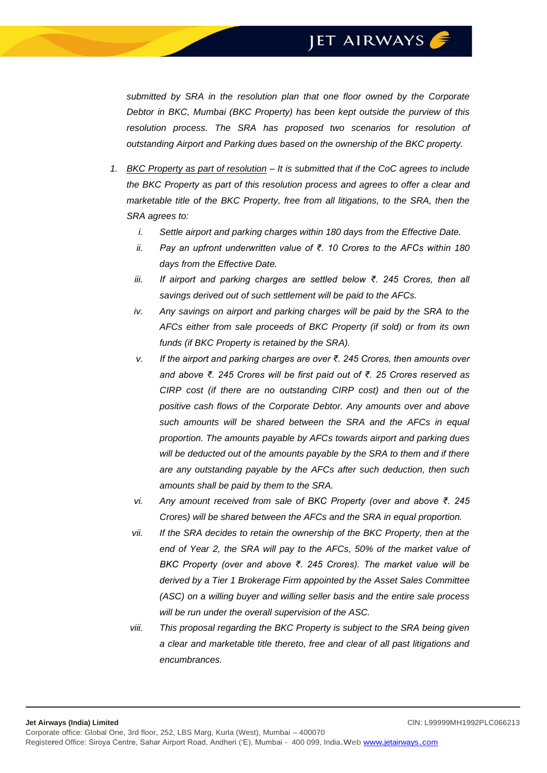*submitted by SRA in the resolution plan that one floor owned by the Corporate Debtor in BKC, Mumbai (BKC Property) has been kept outside the purview of this*  resolution process. The SRA has proposed two scenarios for resolution of *outstanding Airport and Parking dues based on the ownership of the BKC property.*

- *1. BKC Property as part of resolution – It is submitted that if the CoC agrees to include the BKC Property as part of this resolution process and agrees to offer a clear and marketable title of the BKC Property, free from all litigations, to the SRA, then the SRA agrees to:*
	- *i. Settle airport and parking charges within 180 days from the Effective Date.*
	- *ii. Pay an upfront underwritten value of ₹. 10 Crores to the AFCs within 180 days from the Effective Date.*
	- *iii. If airport and parking charges are settled below ₹. 245 Crores, then all savings derived out of such settlement will be paid to the AFCs.*
	- *iv.* Any savings on airport and parking charges will be paid by the SRA to the *AFCs either from sale proceeds of BKC Property (if sold) or from its own funds (if BKC Property is retained by the SRA).*
	- *v. If the airport and parking charges are over ₹. 245 Crores, then amounts over and above ₹. 245 Crores will be first paid out of ₹. 25 Crores reserved as CIRP cost (if there are no outstanding CIRP cost) and then out of the positive cash flows of the Corporate Debtor. Any amounts over and above such amounts will be shared between the SRA and the AFCs in equal proportion. The amounts payable by AFCs towards airport and parking dues will be deducted out of the amounts payable by the SRA to them and if there are any outstanding payable by the AFCs after such deduction, then such amounts shall be paid by them to the SRA.*
	- *vi. Any amount received from sale of BKC Property (over and above ₹. 245 Crores) will be shared between the AFCs and the SRA in equal proportion.*
	- *vii. If the SRA decides to retain the ownership of the BKC Property, then at the end of Year 2, the SRA will pay to the AFCs, 50% of the market value of BKC Property (over and above ₹. 245 Crores). The market value will be derived by a Tier 1 Brokerage Firm appointed by the Asset Sales Committee (ASC) on a willing buyer and willing seller basis and the entire sale process will be run under the overall supervision of the ASC.*
	- *viii. This proposal regarding the BKC Property is subject to the SRA being given a clear and marketable title thereto, free and clear of all past litigations and encumbrances.*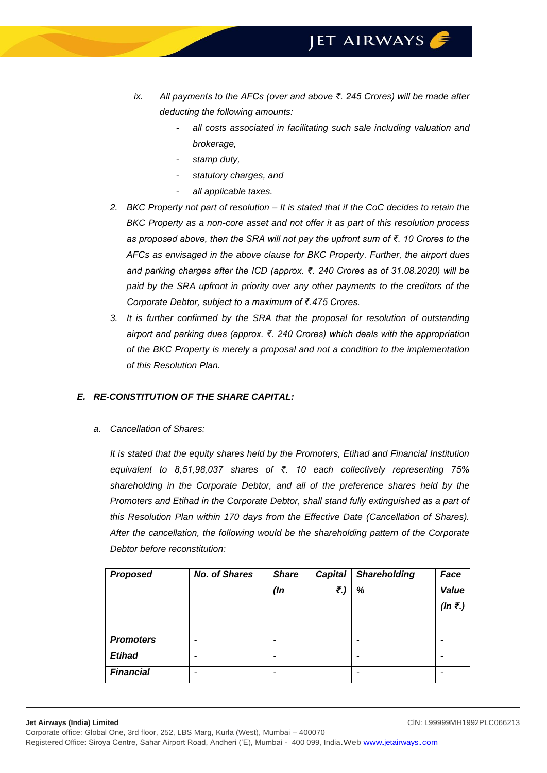- *ix. All payments to the AFCs (over and above ₹. 245 Crores) will be made after deducting the following amounts:*
	- *all costs associated in facilitating such sale including valuation and brokerage,*
	- *stamp duty,*
	- *statutory charges, and*
	- *all applicable taxes.*
- *2. BKC Property not part of resolution – It is stated that if the CoC decides to retain the BKC Property as a non-core asset and not offer it as part of this resolution process as proposed above, then the SRA will not pay the upfront sum of ₹. 10 Crores to the AFCs as envisaged in the above clause for BKC Property. Further, the airport dues and parking charges after the ICD (approx. ₹. 240 Crores as of 31.08.2020) will be paid by the SRA upfront in priority over any other payments to the creditors of the Corporate Debtor, subject to a maximum of ₹.475 Crores.*
- *3. It is further confirmed by the SRA that the proposal for resolution of outstanding airport and parking dues (approx. ₹. 240 Crores) which deals with the appropriation of the BKC Property is merely a proposal and not a condition to the implementation of this Resolution Plan.*

#### *E. RE-CONSTITUTION OF THE SHARE CAPITAL:*

*a. Cancellation of Shares:*

*It is stated that the equity shares held by the Promoters, Etihad and Financial Institution equivalent to 8,51,98,037 shares of ₹. 10 each collectively representing 75% shareholding in the Corporate Debtor, and all of the preference shares held by the*  Promoters and Etihad in the Corporate Debtor, shall stand fully extinguished as a part of *this Resolution Plan within 170 days from the Effective Date (Cancellation of Shares). After the cancellation, the following would be the shareholding pattern of the Corporate Debtor before reconstitution:*

| <b>Proposed</b>  | <b>No. of Shares</b> | <b>Share</b> | <b>Capital</b> | <b>Shareholding</b> | Face       |
|------------------|----------------------|--------------|----------------|---------------------|------------|
|                  |                      | (In          | ₹.)            | %                   | Value      |
|                  |                      |              |                |                     | $(ln \xi)$ |
|                  |                      |              |                |                     |            |
| <b>Promoters</b> | -                    |              |                |                     |            |
| <b>Etihad</b>    | ۰                    |              |                |                     |            |
| <b>Financial</b> | -                    |              |                |                     |            |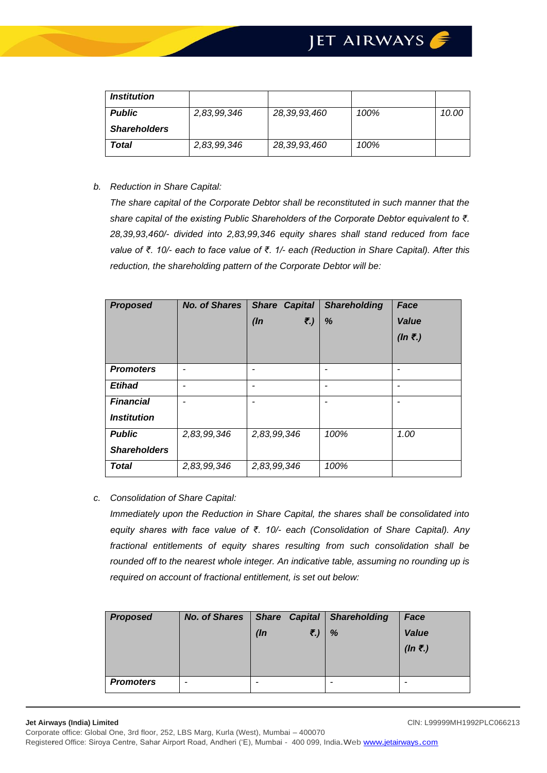| <i><b>Institution</b></i> |             |              |      |       |
|---------------------------|-------------|--------------|------|-------|
| <b>Public</b>             | 2,83,99,346 | 28.39.93.460 | 100% | 10.00 |
| <b>Shareholders</b>       |             |              |      |       |
| Total                     | 2,83,99,346 | 28,39,93,460 | 100% |       |

*b. Reduction in Share Capital:*

*The share capital of the Corporate Debtor shall be reconstituted in such manner that the share capital of the existing Public Shareholders of the Corporate Debtor equivalent to ₹. 28,39,93,460/- divided into 2,83,99,346 equity shares shall stand reduced from face value of ₹. 10/- each to face value of ₹. 1/- each (Reduction in Share Capital). After this reduction, the shareholding pattern of the Corporate Debtor will be:*

| <b>Proposed</b>     | <b>No. of Shares</b> | <b>Share Capital</b> | <b>Shareholding</b> | Face       |
|---------------------|----------------------|----------------------|---------------------|------------|
|                     |                      | ₹.)<br>$($ In        | %                   | Value      |
|                     |                      |                      |                     | $(ln \xi)$ |
|                     |                      |                      |                     |            |
| <b>Promoters</b>    | ۰                    |                      | -                   |            |
| <b>Etihad</b>       | ۰                    | -                    | ۰                   | -          |
| <b>Financial</b>    |                      |                      | ۰                   |            |
| <b>Institution</b>  |                      |                      |                     |            |
| <b>Public</b>       | 2,83,99,346          | 2,83,99,346          | 100%                | 1.00       |
| <b>Shareholders</b> |                      |                      |                     |            |
| <b>Total</b>        | 2,83,99,346          | 2,83,99,346          | 100%                |            |

*c. Consolidation of Share Capital:*

*Immediately upon the Reduction in Share Capital, the shares shall be consolidated into equity shares with face value of ₹. 10/- each (Consolidation of Share Capital). Any fractional entitlements of equity shares resulting from such consolidation shall be rounded off to the nearest whole integer. An indicative table, assuming no rounding up is required on account of fractional entitlement, is set out below:*

| <b>Proposed</b>  | <b>No. of Shares</b> |        | <b>Share Capital</b> | <b>Shareholding</b> | Face         |
|------------------|----------------------|--------|----------------------|---------------------|--------------|
|                  |                      | $($ In | ₹.)                  | %                   | <b>Value</b> |
|                  |                      |        |                      |                     | $(ln \xi)$   |
|                  |                      |        |                      |                     |              |
|                  |                      |        |                      |                     |              |
| <b>Promoters</b> | -                    |        |                      | -                   | -            |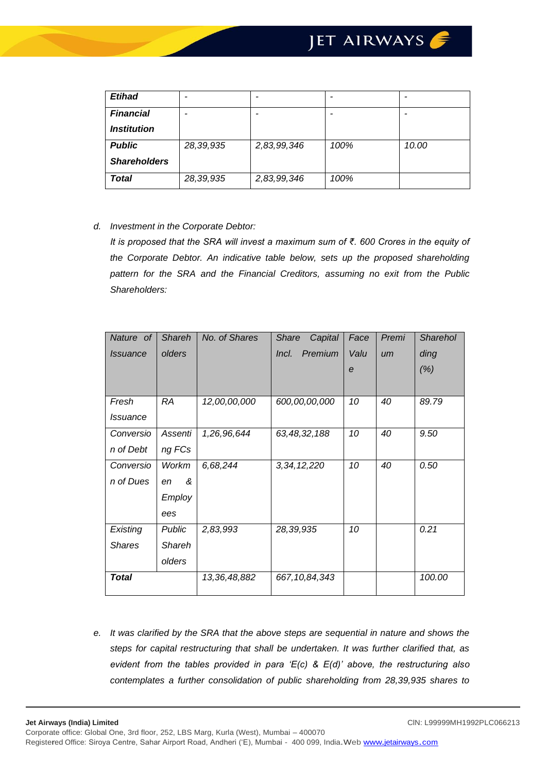| <b>Etihad</b>       | ۰         |             |      |       |
|---------------------|-----------|-------------|------|-------|
| <b>Financial</b>    |           |             |      |       |
| <b>Institution</b>  |           |             |      |       |
| <b>Public</b>       | 28,39,935 | 2,83,99,346 | 100% | 10.00 |
| <b>Shareholders</b> |           |             |      |       |
| <b>Total</b>        | 28,39,935 | 2,83,99,346 | 100% |       |

#### *d. Investment in the Corporate Debtor:*

*It is proposed that the SRA will invest a maximum sum of ₹. 600 Crores in the equity of the Corporate Debtor. An indicative table below, sets up the proposed shareholding pattern for the SRA and the Financial Creditors, assuming no exit from the Public Shareholders:*

| Nature of       | <b>Shareh</b> | No. of Shares | <b>Share</b><br>Capital | Face             | Premi          | Sharehol |
|-----------------|---------------|---------------|-------------------------|------------------|----------------|----------|
| <i>Issuance</i> | olders        |               | Premium<br>Incl.        | Valu             | $\mathsf{u}$ m | ding     |
|                 |               |               |                         | $\boldsymbol{e}$ |                | (%)      |
|                 |               |               |                         |                  |                |          |
| Fresh           | <b>RA</b>     | 12,00,00,000  | 600,00,00,000           | 10               | 40             | 89.79    |
| <i>Issuance</i> |               |               |                         |                  |                |          |
| Conversio       | Assenti       | 1,26,96,644   | 63,48,32,188            | 10               | 40             | 9.50     |
| n of Debt       | ng FCs        |               |                         |                  |                |          |
| Conversio       | Workm         | 6,68,244      | 3, 34, 12, 220          | 10               | 40             | 0.50     |
| n of Dues       | ଝ<br>en       |               |                         |                  |                |          |
|                 | Employ        |               |                         |                  |                |          |
|                 | ees           |               |                         |                  |                |          |
| Existing        | Public        | 2,83,993      | 28,39,935               | 10               |                | 0.21     |
| <b>Shares</b>   | Shareh        |               |                         |                  |                |          |
|                 | olders        |               |                         |                  |                |          |
| Total           |               | 13,36,48,882  | 667, 10, 84, 343        |                  |                | 100.00   |

*e. It was clarified by the SRA that the above steps are sequential in nature and shows the steps for capital restructuring that shall be undertaken. It was further clarified that, as evident from the tables provided in para 'E(c) & E(d)' above, the restructuring also contemplates a further consolidation of public shareholding from 28,39,935 shares to*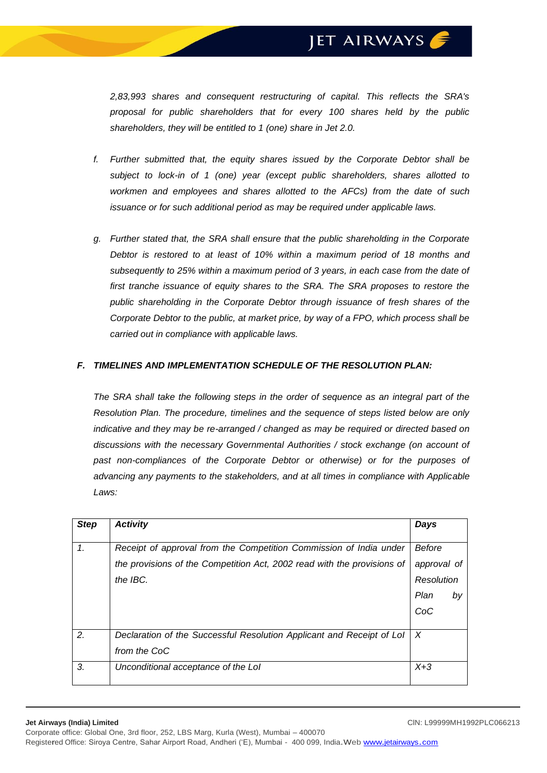*2,83,993 shares and consequent restructuring of capital. This reflects the SRA's proposal for public shareholders that for every 100 shares held by the public shareholders, they will be entitled to 1 (one) share in Jet 2.0.*

- *f. Further submitted that, the equity shares issued by the Corporate Debtor shall be subject to lock-in of 1 (one) year (except public shareholders, shares allotted to workmen and employees and shares allotted to the AFCs) from the date of such issuance or for such additional period as may be required under applicable laws.*
- *g. Further stated that, the SRA shall ensure that the public shareholding in the Corporate Debtor is restored to at least of 10% within a maximum period of 18 months and subsequently to 25% within a maximum period of 3 years, in each case from the date of*  first tranche issuance of equity shares to the SRA. The SRA proposes to restore the *public shareholding in the Corporate Debtor through issuance of fresh shares of the Corporate Debtor to the public, at market price, by way of a FPO, which process shall be carried out in compliance with applicable laws.*

#### *F. TIMELINES AND IMPLEMENTATION SCHEDULE OF THE RESOLUTION PLAN:*

*The SRA shall take the following steps in the order of sequence as an integral part of the Resolution Plan. The procedure, timelines and the sequence of steps listed below are only indicative and they may be re-arranged / changed as may be required or directed based on discussions with the necessary Governmental Authorities / stock exchange (on account of past non-compliances of the Corporate Debtor or otherwise) or for the purposes of advancing any payments to the stakeholders, and at all times in compliance with Applicable Laws:*

| <b>Step</b> | <b>Activity</b>                                                         | Days             |
|-------------|-------------------------------------------------------------------------|------------------|
| 1.          | Receipt of approval from the Competition Commission of India under      | Before           |
|             | the provisions of the Competition Act, 2002 read with the provisions of | approval of      |
|             | the $IBC$ .                                                             | Resolution       |
|             |                                                                         | Plan<br>bv       |
|             |                                                                         | CoC              |
|             |                                                                         |                  |
| 2.          | Declaration of the Successful Resolution Applicant and Receipt of Lol   | $\boldsymbol{X}$ |
|             | from the CoC                                                            |                  |
| 3.          | Unconditional acceptance of the Lol                                     | $X+3$            |
|             |                                                                         |                  |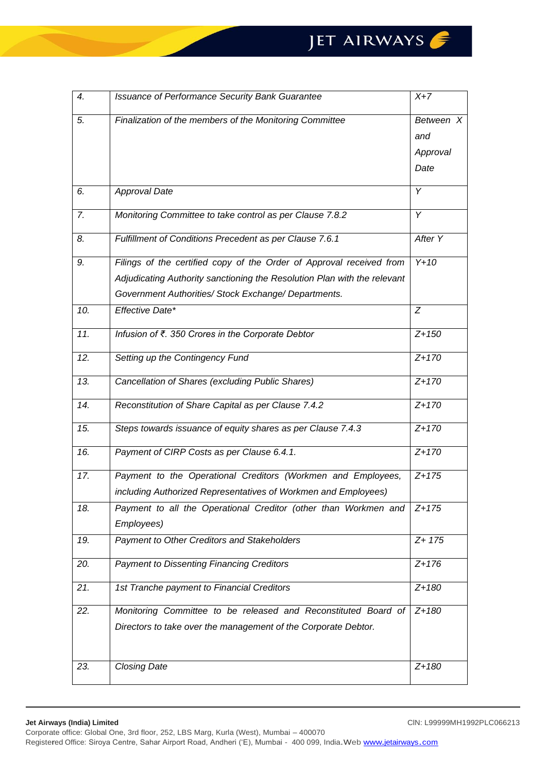| 4.  | Issuance of Performance Security Bank Guarantee<br>$X+7$                                                                                                                                                 |                                      |
|-----|----------------------------------------------------------------------------------------------------------------------------------------------------------------------------------------------------------|--------------------------------------|
| 5.  | Finalization of the members of the Monitoring Committee                                                                                                                                                  | Between X<br>and<br>Approval<br>Date |
| 6.  | <b>Approval Date</b>                                                                                                                                                                                     | Y                                    |
| 7.  | Monitoring Committee to take control as per Clause 7.8.2                                                                                                                                                 | Y                                    |
| 8.  | Fulfillment of Conditions Precedent as per Clause 7.6.1<br>After Y                                                                                                                                       |                                      |
| 9.  | Filings of the certified copy of the Order of Approval received from<br>Adjudicating Authority sanctioning the Resolution Plan with the relevant<br>Government Authorities/ Stock Exchange/ Departments. | $Y+10$                               |
| 10. | Effective Date*                                                                                                                                                                                          | Z                                    |
| 11. | Infusion of ₹. 350 Crores in the Corporate Debtor                                                                                                                                                        | $Z + 150$                            |
| 12. | Setting up the Contingency Fund                                                                                                                                                                          | $Z + 170$                            |
| 13. | Cancellation of Shares (excluding Public Shares)                                                                                                                                                         | $Z + 170$                            |
| 14. | Reconstitution of Share Capital as per Clause 7.4.2                                                                                                                                                      | $Z + 170$                            |
| 15. | Steps towards issuance of equity shares as per Clause 7.4.3                                                                                                                                              | $Z + 170$                            |
| 16. | Payment of CIRP Costs as per Clause 6.4.1.                                                                                                                                                               | $Z + 170$                            |
| 17. | Payment to the Operational Creditors (Workmen and Employees,<br>including Authorized Representatives of Workmen and Employees)                                                                           | $Z + 175$                            |
| 18. | Payment to all the Operational Creditor (other than Workmen and<br>Employees)                                                                                                                            | $Z + 175$                            |
| 19. | Payment to Other Creditors and Stakeholders                                                                                                                                                              | $Z+175$                              |
| 20. | <b>Payment to Dissenting Financing Creditors</b>                                                                                                                                                         | $Z + 176$                            |
| 21. | 1st Tranche payment to Financial Creditors<br>$Z + 180$                                                                                                                                                  |                                      |
| 22. | Monitoring Committee to be released and Reconstituted Board of<br>Directors to take over the management of the Corporate Debtor.                                                                         | $Z + 180$                            |
| 23. | <b>Closing Date</b>                                                                                                                                                                                      | $Z + 180$                            |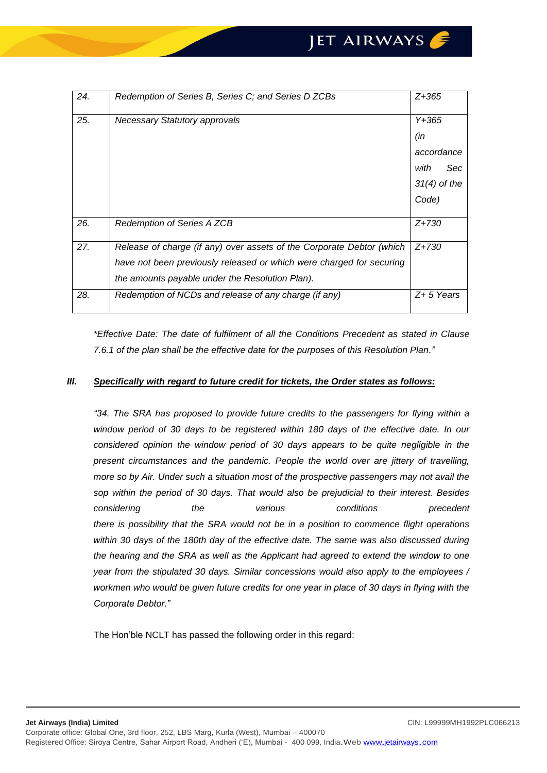| 24. | Redemption of Series B, Series C; and Series D ZCBs                   | $Z + 365$      |
|-----|-----------------------------------------------------------------------|----------------|
| 25. | <b>Necessary Statutory approvals</b>                                  | $Y + 365$      |
|     |                                                                       | (in            |
|     |                                                                       | accordance     |
|     |                                                                       | Sec<br>with    |
|     |                                                                       | $31(4)$ of the |
|     |                                                                       | Code)          |
|     |                                                                       |                |
| 26. | Redemption of Series A ZCB                                            | $Z + 730$      |
| 27. | Release of charge (if any) over assets of the Corporate Debtor (which | $Z + 730$      |
|     | have not been previously released or which were charged for securing  |                |
|     | the amounts payable under the Resolution Plan).                       |                |
| 28. | Redemption of NCDs and release of any charge (if any)                 | $Z+5$ Years    |

*\*Effective Date: The date of fulfilment of all the Conditions Precedent as stated in Clause 7.6.1 of the plan shall be the effective date for the purposes of this Resolution Plan."*

#### *III. Specifically with regard to future credit for tickets, the Order states as follows:*

*"34. The SRA has proposed to provide future credits to the passengers for flying within a window period of 30 days to be registered within 180 days of the effective date. In our considered opinion the window period of 30 days appears to be quite negligible in the present circumstances and the pandemic. People the world over are jittery of travelling, more so by Air. Under such a situation most of the prospective passengers may not avail the sop within the period of 30 days. That would also be prejudicial to their interest. Besides considering the various conditions precedent there is possibility that the SRA would not be in a position to commence flight operations within 30 days of the 180th day of the effective date. The same was also discussed during the hearing and the SRA as well as the Applicant had agreed to extend the window to one year from the stipulated 30 days. Similar concessions would also apply to the employees /*  workmen who would be given future credits for one year in place of 30 days in flying with the *Corporate Debtor."*

The Hon'ble NCLT has passed the following order in this regard: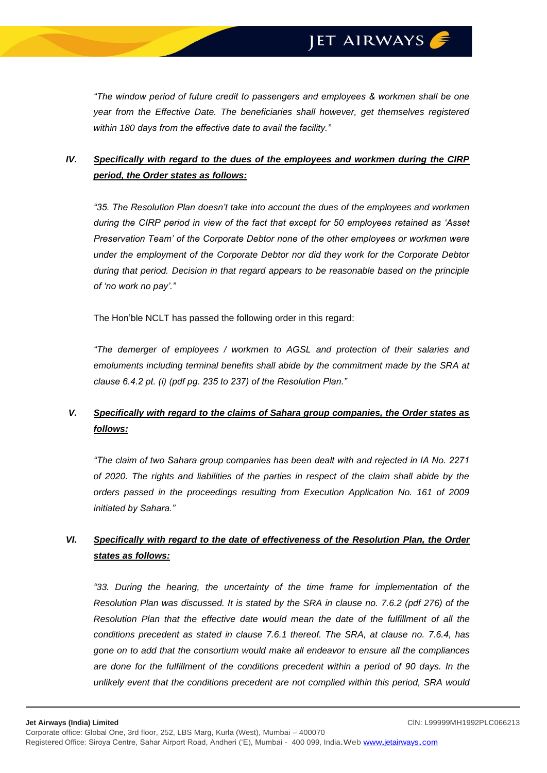*"The window period of future credit to passengers and employees & workmen shall be one year from the Effective Date. The beneficiaries shall however, get themselves registered within 180 days from the effective date to avail the facility."*

### *IV. Specifically with regard to the dues of the employees and workmen during the CIRP period, the Order states as follows:*

*"35. The Resolution Plan doesn't take into account the dues of the employees and workmen during the CIRP period in view of the fact that except for 50 employees retained as 'Asset Preservation Team' of the Corporate Debtor none of the other employees or workmen were under the employment of the Corporate Debtor nor did they work for the Corporate Debtor during that period. Decision in that regard appears to be reasonable based on the principle of 'no work no pay'."*

The Hon'ble NCLT has passed the following order in this regard:

*"The demerger of employees / workmen to AGSL and protection of their salaries and emoluments including terminal benefits shall abide by the commitment made by the SRA at clause 6.4.2 pt. (i) (pdf pg. 235 to 237) of the Resolution Plan."*

### *V. Specifically with regard to the claims of Sahara group companies, the Order states as follows:*

*"The claim of two Sahara group companies has been dealt with and rejected in IA No. 2271 of 2020. The rights and liabilities of the parties in respect of the claim shall abide by the orders passed in the proceedings resulting from Execution Application No. 161 of 2009 initiated by Sahara."*

### *VI. Specifically with regard to the date of effectiveness of the Resolution Plan, the Order states as follows:*

*"33. During the hearing, the uncertainty of the time frame for implementation of the Resolution Plan was discussed. It is stated by the SRA in clause no. 7.6.2 (pdf 276) of the Resolution Plan that the effective date would mean the date of the fulfillment of all the conditions precedent as stated in clause 7.6.1 thereof. The SRA, at clause no. 7.6.4, has gone on to add that the consortium would make all endeavor to ensure all the compliances are done for the fulfillment of the conditions precedent within a period of 90 days. In the unlikely event that the conditions precedent are not complied within this period, SRA would*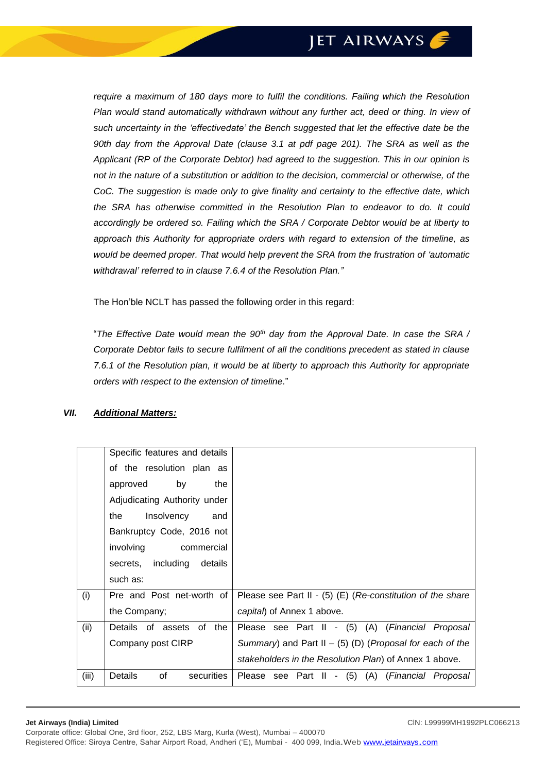*require a maximum of 180 days more to fulfil the conditions. Failing which the Resolution Plan would stand automatically withdrawn without any further act, deed or thing. In view of such uncertainty in the 'effectivedate' the Bench suggested that let the effective date be the 90th day from the Approval Date (clause 3.1 at pdf page 201). The SRA as well as the Applicant (RP of the Corporate Debtor) had agreed to the suggestion. This in our opinion is not in the nature of a substitution or addition to the decision, commercial or otherwise, of the CoC. The suggestion is made only to give finality and certainty to the effective date, which the SRA has otherwise committed in the Resolution Plan to endeavor to do. It could accordingly be ordered so. Failing which the SRA / Corporate Debtor would be at liberty to approach this Authority for appropriate orders with regard to extension of the timeline, as would be deemed proper. That would help prevent the SRA from the frustration of 'automatic withdrawal' referred to in clause 7.6.4 of the Resolution Plan."*

The Hon'ble NCLT has passed the following order in this regard:

"*The Effective Date would mean the 90th day from the Approval Date. In case the SRA / Corporate Debtor fails to secure fulfilment of all the conditions precedent as stated in clause 7.6.1 of the Resolution plan, it would be at liberty to approach this Authority for appropriate orders with respect to the extension of timeline.*"

#### *VII. Additional Matters:*

|       | Specific features and details |                                                                               |
|-------|-------------------------------|-------------------------------------------------------------------------------|
|       | of the resolution plan as     |                                                                               |
|       | by<br>approved<br>the         |                                                                               |
|       | Adjudicating Authority under  |                                                                               |
|       | Insolvency<br>the<br>and      |                                                                               |
|       | Bankruptcy Code, 2016 not     |                                                                               |
|       | involving commercial          |                                                                               |
|       | secrets, including details    |                                                                               |
|       | such as:                      |                                                                               |
| (i)   | Pre and Post net-worth of     | Please see Part II - $(5)$ (E) (Re-constitution of the share                  |
|       | the Company;                  | capital) of Annex 1 above.                                                    |
| (ii)  | Details of assets of the      | Please see Part II - (5) (A) (Financial Proposal                              |
|       | Company post CIRP             | Summary) and Part II $-$ (5) (D) (Proposal for each of the                    |
|       |                               | stakeholders in the Resolution Plan) of Annex 1 above.                        |
| (iii) | οf<br>Details<br>securities   | Please see Part II<br>(5) (A) (Financial Proposal<br>$\overline{\phantom{a}}$ |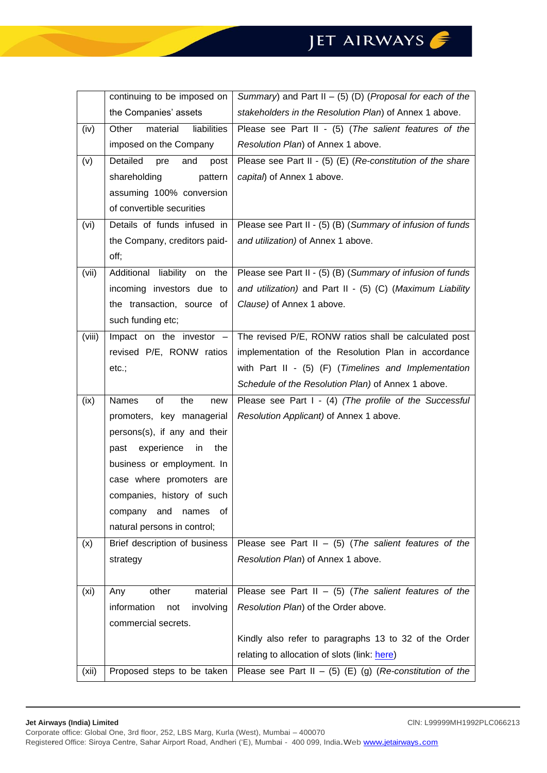|                   | continuing to be imposed on      | Summary) and Part II $-$ (5) (D) (Proposal for each of the   |
|-------------------|----------------------------------|--------------------------------------------------------------|
|                   | the Companies' assets            | stakeholders in the Resolution Plan) of Annex 1 above.       |
| (iv)              | liabilities<br>Other<br>material | Please see Part II - (5) (The salient features of the        |
|                   | imposed on the Company           | Resolution Plan) of Annex 1 above.                           |
| (v)               | Detailed<br>pre<br>and<br>post   | Please see Part II - $(5)$ (E) (Re-constitution of the share |
|                   | shareholding<br>pattern          | capital) of Annex 1 above.                                   |
|                   | assuming 100% conversion         |                                                              |
|                   | of convertible securities        |                                                              |
| (vi)              | Details of funds infused in      | Please see Part II - (5) (B) (Summary of infusion of funds   |
|                   | the Company, creditors paid-     | and utilization) of Annex 1 above.                           |
|                   | off;                             |                                                              |
| (vii)             | Additional liability on the      | Please see Part II - (5) (B) (Summary of infusion of funds   |
|                   | incoming investors due to        | and utilization) and Part II - $(5)$ (C) (Maximum Liability  |
|                   | the transaction, source of       | Clause) of Annex 1 above.                                    |
|                   | such funding etc;                |                                                              |
| (viii)            | Impact on the investor -         | The revised P/E, RONW ratios shall be calculated post        |
|                   | revised P/E, RONW ratios         | implementation of the Resolution Plan in accordance          |
|                   | $etc.$ ;                         | with Part II - (5) (F) (Timelines and Implementation         |
|                   |                                  | Schedule of the Resolution Plan) of Annex 1 above.           |
| (ix)              | Names<br>of<br>the<br>new        | Please see Part I - (4) (The profile of the Successful       |
|                   | promoters, key managerial        | Resolution Applicant) of Annex 1 above.                      |
|                   | persons(s), if any and their     |                                                              |
|                   | past experience<br>the<br>in     |                                                              |
|                   | business or employment. In       |                                                              |
|                   | case where promoters are         |                                                              |
|                   | companies, history of such       |                                                              |
|                   | company<br>and<br>names<br>οf    |                                                              |
|                   | natural persons in control;      |                                                              |
| (x)               | Brief description of business    | Please see Part II - $(5)$ (The salient features of the      |
|                   | strategy                         | Resolution Plan) of Annex 1 above.                           |
|                   |                                  |                                                              |
| (x <sub>i</sub> ) | material<br>Any<br>other         | Please see Part II - $(5)$ (The salient features of the      |
|                   | information<br>involving<br>not  | Resolution Plan) of the Order above.                         |
|                   | commercial secrets.              |                                                              |
|                   |                                  | Kindly also refer to paragraphs 13 to 32 of the Order        |
|                   |                                  | relating to allocation of slots (link: here)                 |
|                   |                                  |                                                              |